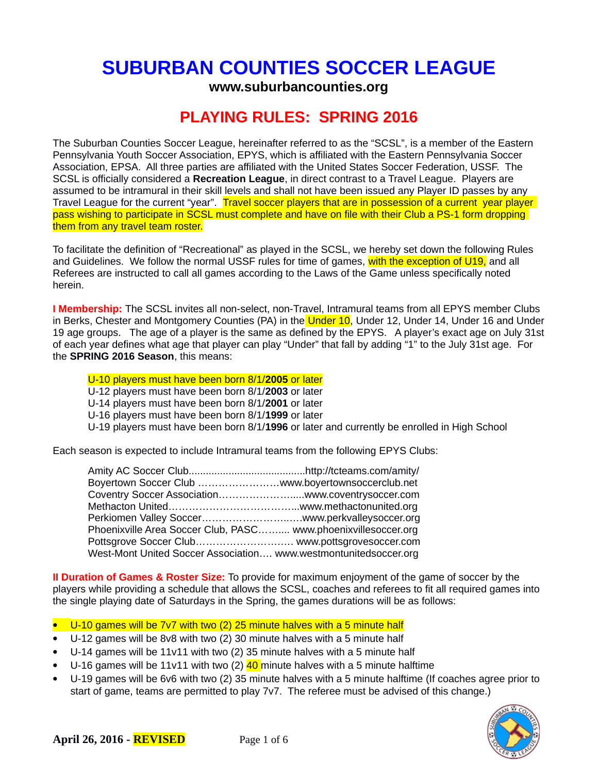# **SUBURBAN COUNTIES SOCCER LEAGUE**

**www.suburbancounties.org**

# **PLAYING RULES: SPRING 2016**

The Suburban Counties Soccer League, hereinafter referred to as the "SCSL", is a member of the Eastern Pennsylvania Youth Soccer Association, EPYS, which is affiliated with the Eastern Pennsylvania Soccer Association, EPSA. All three parties are affiliated with the United States Soccer Federation, USSF. The SCSL is officially considered a **Recreation League**, in direct contrast to a Travel League. Players are assumed to be intramural in their skill levels and shall not have been issued any Player ID passes by any Travel League for the current "year". Travel soccer players that are in possession of a current year player pass wishing to participate in SCSL must complete and have on file with their Club a PS-1 form dropping them from any travel team roster.

To facilitate the definition of "Recreational" as played in the SCSL, we hereby set down the following Rules and Guidelines. We follow the normal USSF rules for time of games, with the exception of U19, and all Referees are instructed to call all games according to the Laws of the Game unless specifically noted herein.

**I Membership:** The SCSL invites all non-select, non-Travel, Intramural teams from all EPYS member Clubs in Berks, Chester and Montgomery Counties (PA) in the Under 10, Under 12, Under 14, Under 16 and Under 19 age groups. The age of a player is the same as defined by the EPYS. A player's exact age on July 31st of each year defines what age that player can play "Under" that fall by adding "1" to the July 31st age. For the **SPRING 2016 Season**, this means:

U-10 players must have been born 8/1/**2005** or later

- U-12 players must have been born 8/1/**2003** or later
- U-14 players must have been born 8/1/**2001** or later
- U-16 players must have been born 8/1/**1999** or later
- U-19 players must have been born 8/1/**1996** or later and currently be enrolled in High School

Each season is expected to include Intramural teams from the following EPYS Clubs:

| Boyertown Soccer Club www.boyertownsoccerclub.net                |  |
|------------------------------------------------------------------|--|
| Coventry Soccer Associationwww.coventrysoccer.com                |  |
|                                                                  |  |
|                                                                  |  |
| Phoenixville Area Soccer Club, PASC www.phoenixvillesoccer.org   |  |
| Pottsgrove Soccer Club www.pottsgrovesoccer.com                  |  |
| West-Mont United Soccer Association www.westmontunitedsoccer.org |  |

**II Duration of Games & Roster Size:** To provide for maximum enjoyment of the game of soccer by the players while providing a schedule that allows the SCSL, coaches and referees to fit all required games into the single playing date of Saturdays in the Spring, the games durations will be as follows:

- U-10 games will be 7v7 with two (2) 25 minute halves with a 5 minute half
- U-12 games will be 8v8 with two (2) 30 minute halves with a 5 minute half
- U-14 games will be 11v11 with two (2) 35 minute halves with a 5 minute half
- U-16 games will be 11v11 with two (2)  $40$  minute halves with a 5 minute halftime
- U-19 games will be 6v6 with two (2) 35 minute halves with a 5 minute halftime (If coaches agree prior to start of game, teams are permitted to play 7v7. The referee must be advised of this change.)

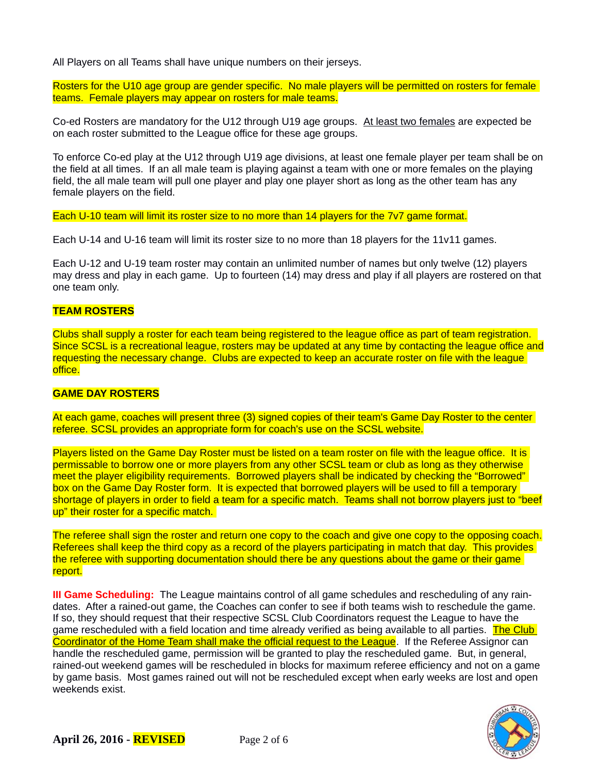All Players on all Teams shall have unique numbers on their jerseys.

Rosters for the U10 age group are gender specific. No male players will be permitted on rosters for female teams. Female players may appear on rosters for male teams.

Co-ed Rosters are mandatory for the U12 through U19 age groups. At least two females are expected be on each roster submitted to the League office for these age groups.

To enforce Co-ed play at the U12 through U19 age divisions, at least one female player per team shall be on the field at all times. If an all male team is playing against a team with one or more females on the playing field, the all male team will pull one player and play one player short as long as the other team has any female players on the field.

Each U-10 team will limit its roster size to no more than 14 players for the 7v7 game format.

Each U-14 and U-16 team will limit its roster size to no more than 18 players for the 11v11 games.

Each U-12 and U-19 team roster may contain an unlimited number of names but only twelve (12) players may dress and play in each game. Up to fourteen (14) may dress and play if all players are rostered on that one team only.

# **TEAM ROSTERS**

Clubs shall supply a roster for each team being registered to the league office as part of team registration. Since SCSL is a recreational league, rosters may be updated at any time by contacting the league office and requesting the necessary change. Clubs are expected to keep an accurate roster on file with the league office.

# **GAME DAY ROSTERS**

At each game, coaches will present three (3) signed copies of their team's Game Day Roster to the center referee. SCSL provides an appropriate form for coach's use on the SCSL website.

Players listed on the Game Day Roster must be listed on a team roster on file with the league office. It is permissable to borrow one or more players from any other SCSL team or club as long as they otherwise meet the player eligibility requirements. Borrowed players shall be indicated by checking the "Borrowed" box on the Game Day Roster form. It is expected that borrowed players will be used to fill a temporary shortage of players in order to field a team for a specific match. Teams shall not borrow players just to "beef up" their roster for a specific match.

The referee shall sign the roster and return one copy to the coach and give one copy to the opposing coach. Referees shall keep the third copy as a record of the players participating in match that day. This provides the referee with supporting documentation should there be any questions about the game or their game report.

**III Game Scheduling:** The League maintains control of all game schedules and rescheduling of any raindates. After a rained-out game, the Coaches can confer to see if both teams wish to reschedule the game. If so, they should request that their respective SCSL Club Coordinators request the League to have the game rescheduled with a field location and time already verified as being available to all parties. The Club Coordinator of the Home Team shall make the official request to the League. If the Referee Assignor can handle the rescheduled game, permission will be granted to play the rescheduled game. But, in general, rained-out weekend games will be rescheduled in blocks for maximum referee efficiency and not on a game by game basis. Most games rained out will not be rescheduled except when early weeks are lost and open weekends exist.

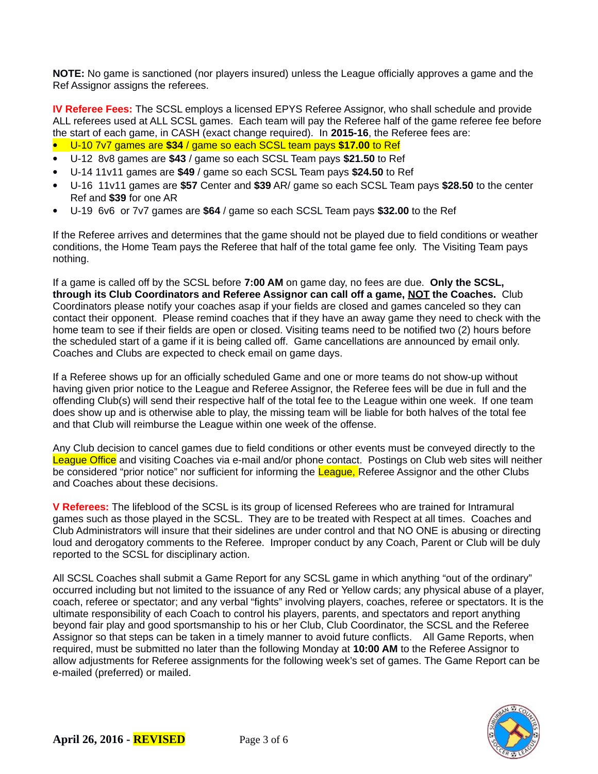**NOTE:** No game is sanctioned (nor players insured) unless the League officially approves a game and the Ref Assignor assigns the referees.

**IV Referee Fees:** The SCSL employs a licensed EPYS Referee Assignor, who shall schedule and provide ALL referees used at ALL SCSL games. Each team will pay the Referee half of the game referee fee before the start of each game, in CASH (exact change required). In **2015-16**, the Referee fees are:

- U-10 7v7 games are **\$34** / game so each SCSL team pays **\$17.00** to Ref
- U-12 8v8 games are **\$43** / game so each SCSL Team pays **\$21.50** to Ref
- U-14 11v11 games are **\$49** / game so each SCSL Team pays **\$24.50** to Ref
- U-16 11v11 games are **\$57** Center and **\$39** AR/ game so each SCSL Team pays **\$28.50** to the center Ref and **\$39** for one AR
- U-19 6v6 or 7v7 games are **\$64** / game so each SCSL Team pays **\$32.00** to the Ref

If the Referee arrives and determines that the game should not be played due to field conditions or weather conditions, the Home Team pays the Referee that half of the total game fee only. The Visiting Team pays nothing.

If a game is called off by the SCSL before **7:00 AM** on game day, no fees are due. **Only the SCSL, through its Club Coordinators and Referee Assignor can call off a game, NOT the Coaches.** Club Coordinators please notify your coaches asap if your fields are closed and games canceled so they can contact their opponent. Please remind coaches that if they have an away game they need to check with the home team to see if their fields are open or closed. Visiting teams need to be notified two (2) hours before the scheduled start of a game if it is being called off. Game cancellations are announced by email only. Coaches and Clubs are expected to check email on game days.

If a Referee shows up for an officially scheduled Game and one or more teams do not show-up without having given prior notice to the League and Referee Assignor, the Referee fees will be due in full and the offending Club(s) will send their respective half of the total fee to the League within one week. If one team does show up and is otherwise able to play, the missing team will be liable for both halves of the total fee and that Club will reimburse the League within one week of the offense.

Any Club decision to cancel games due to field conditions or other events must be conveyed directly to the League Office and visiting Coaches via e-mail and/or phone contact. Postings on Club web sites will neither be considered "prior notice" nor sufficient for informing the League, Referee Assignor and the other Clubs and Coaches about these decisions**.** 

**V Referees:** The lifeblood of the SCSL is its group of licensed Referees who are trained for Intramural games such as those played in the SCSL. They are to be treated with Respect at all times. Coaches and Club Administrators will insure that their sidelines are under control and that NO ONE is abusing or directing loud and derogatory comments to the Referee. Improper conduct by any Coach, Parent or Club will be duly reported to the SCSL for disciplinary action.

All SCSL Coaches shall submit a Game Report for any SCSL game in which anything "out of the ordinary" occurred including but not limited to the issuance of any Red or Yellow cards; any physical abuse of a player, coach, referee or spectator; and any verbal "fights" involving players, coaches, referee or spectators. It is the ultimate responsibility of each Coach to control his players, parents, and spectators and report anything beyond fair play and good sportsmanship to his or her Club, Club Coordinator, the SCSL and the Referee Assignor so that steps can be taken in a timely manner to avoid future conflicts. All Game Reports, when required, must be submitted no later than the following Monday at **10:00 AM** to the Referee Assignor to allow adjustments for Referee assignments for the following week's set of games. The Game Report can be e-mailed (preferred) or mailed.

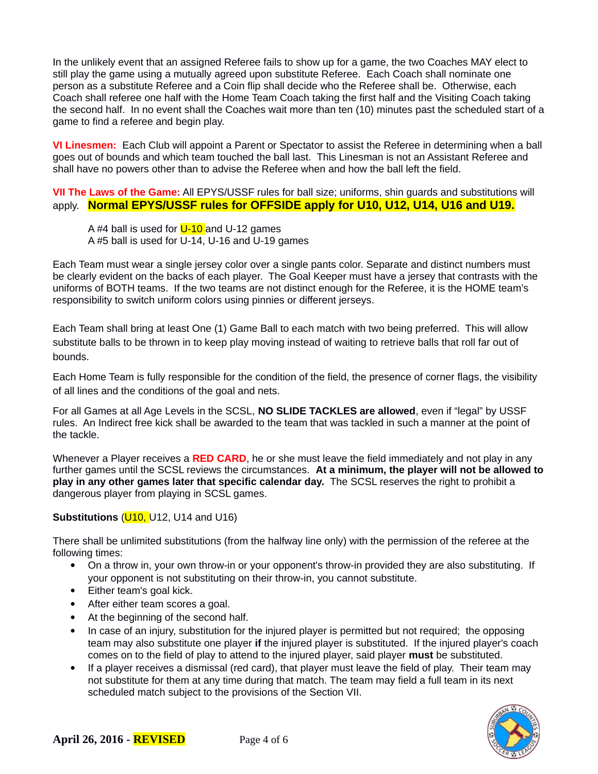In the unlikely event that an assigned Referee fails to show up for a game, the two Coaches MAY elect to still play the game using a mutually agreed upon substitute Referee. Each Coach shall nominate one person as a substitute Referee and a Coin flip shall decide who the Referee shall be. Otherwise, each Coach shall referee one half with the Home Team Coach taking the first half and the Visiting Coach taking the second half. In no event shall the Coaches wait more than ten (10) minutes past the scheduled start of a game to find a referee and begin play.

**VI Linesmen:** Each Club will appoint a Parent or Spectator to assist the Referee in determining when a ball goes out of bounds and which team touched the ball last. This Linesman is not an Assistant Referee and shall have no powers other than to advise the Referee when and how the ball left the field.

**VII The Laws of the Game:** All EPYS/USSF rules for ball size; uniforms, shin guards and substitutions will apply. **Normal EPYS/USSF rules for OFFSIDE apply for U10, U12, U14, U16 and U19.**

A #4 ball is used for  $U$ -10 and U-12 games A #5 ball is used for U-14, U-16 and U-19 games

Each Team must wear a single jersey color over a single pants color. Separate and distinct numbers must be clearly evident on the backs of each player. The Goal Keeper must have a jersey that contrasts with the uniforms of BOTH teams. If the two teams are not distinct enough for the Referee, it is the HOME team's responsibility to switch uniform colors using pinnies or different jerseys.

Each Team shall bring at least One (1) Game Ball to each match with two being preferred. This will allow substitute balls to be thrown in to keep play moving instead of waiting to retrieve balls that roll far out of bounds.

Each Home Team is fully responsible for the condition of the field, the presence of corner flags, the visibility of all lines and the conditions of the goal and nets.

For all Games at all Age Levels in the SCSL, **NO SLIDE TACKLES are allowed**, even if "legal" by USSF rules. An Indirect free kick shall be awarded to the team that was tackled in such a manner at the point of the tackle.

Whenever a Player receives a **RED CARD**, he or she must leave the field immediately and not play in any further games until the SCSL reviews the circumstances. **At a minimum, the player will not be allowed to play in any other games later that specific calendar day.** The SCSL reserves the right to prohibit a dangerous player from playing in SCSL games.

# **Substitutions (***U***10,** *U***12,** *U***14 and** *U***16)**

There shall be unlimited substitutions (from the halfway line only) with the permission of the referee at the following times:

- On a throw in, your own throw-in or your opponent's throw-in provided they are also substituting. If your opponent is not substituting on their throw-in, you cannot substitute.
- Either team's goal kick.
- After either team scores a goal.
- At the beginning of the second half.
- In case of an injury, substitution for the injured player is permitted but not required; the opposing team may also substitute one player **if** the injured player is substituted. If the injured player's coach comes on to the field of play to attend to the injured player, said player **must** be substituted.
- If a player receives a dismissal (red card), that player must leave the field of play. Their team may not substitute for them at any time during that match. The team may field a full team in its next scheduled match subject to the provisions of the Section VII.

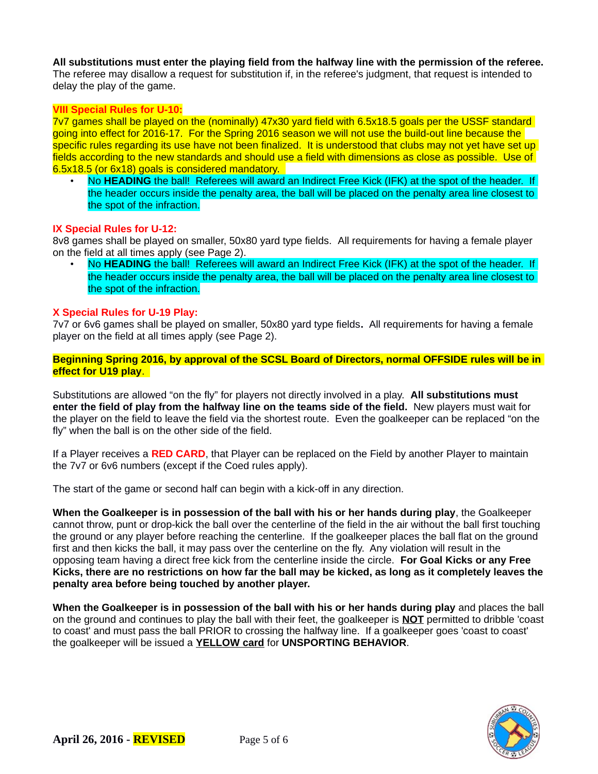**All substitutions must enter the playing field from the halfway line with the permission of the referee.** The referee may disallow a request for substitution if, in the referee's judgment, that request is intended to delay the play of the game.

# **VIII Special Rules for U-10:**

7v7 games shall be played on the (nominally) 47x30 yard field with 6.5x18.5 goals per the USSF standard going into effect for 2016-17. For the Spring 2016 season we will not use the build-out line because the specific rules regarding its use have not been finalized. It is understood that clubs may not yet have set up fields according to the new standards and should use a field with dimensions as close as possible. Use of 6.5x18.5 (or 6x18) goals is considered mandatory.

• No **HEADING** the ball! Referees will award an Indirect Free Kick (IFK) at the spot of the header. If the header occurs inside the penalty area, the ball will be placed on the penalty area line closest to the spot of the infraction.

# **IX Special Rules for U-12:**

8v8 games shall be played on smaller, 50x80 yard type fields. All requirements for having a female player on the field at all times apply (see Page 2).

• No **HEADING** the ball! Referees will award an Indirect Free Kick (IFK) at the spot of the header. If the header occurs inside the penalty area, the ball will be placed on the penalty area line closest to the spot of the infraction.

#### **X Special Rules for U-19 Play:**

7v7 or 6v6 games shall be played on smaller, 50x80 yard type fields**.** All requirements for having a female player on the field at all times apply (see Page 2).

**Beginning Spring 2016, by approval of the SCSL Board of Directors, normal OFFSIDE rules will be in effect for U19 play**.

Substitutions are allowed "on the fly" for players not directly involved in a play. **All substitutions must enter the field of play from the halfway line on the teams side of the field.** New players must wait for the player on the field to leave the field via the shortest route. Even the goalkeeper can be replaced "on the fly" when the ball is on the other side of the field.

If a Player receives a **RED CARD**, that Player can be replaced on the Field by another Player to maintain the 7v7 or 6v6 numbers (except if the Coed rules apply).

The start of the game or second half can begin with a kick-off in any direction.

**When the Goalkeeper is in possession of the ball with his or her hands during play**, the Goalkeeper cannot throw, punt or drop-kick the ball over the centerline of the field in the air without the ball first touching the ground or any player before reaching the centerline. If the goalkeeper places the ball flat on the ground first and then kicks the ball, it may pass over the centerline on the fly. Any violation will result in the opposing team having a direct free kick from the centerline inside the circle. **For Goal Kicks or any Free Kicks, there are no restrictions on how far the ball may be kicked, as long as it completely leaves the penalty area before being touched by another player.**

**When the Goalkeeper is in possession of the ball with his or her hands during play** and places the ball on the ground and continues to play the ball with their feet, the goalkeeper is **NOT** permitted to dribble 'coast to coast' and must pass the ball PRIOR to crossing the halfway line. If a goalkeeper goes 'coast to coast' the goalkeeper will be issued a **YELLOW card** for **UNSPORTING BEHAVIOR**.